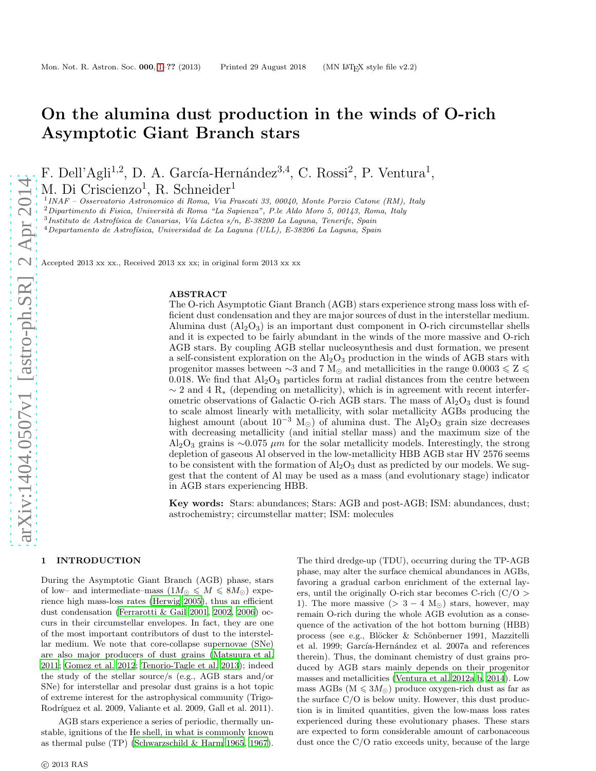# On the alumina dust production in the winds of O-rich Asymptotic Giant Branch stars

F. Dell'Agli<sup>1,2</sup>, D. A. García-Hernández<sup>3,4</sup>, C. Rossi<sup>2</sup>, P. Ventura<sup>1</sup>,

M. Di Criscienzo<sup>1</sup>, R. Schneider<sup>1</sup>

1 INAF – Osservatorio Astronomico di Roma, Via Frascati 33, 00040, Monte Porzio Catone (RM), Italy

 $2$ Dipartimento di Fisica, Università di Roma "La Sapienza", P.le Aldo Moro 5, 00143, Roma, Italy

 $3$ Instituto de Astrofísica de Canarias, Vía Láctea s/n, E-38200 La Laguna, Tenerife, Spain

 $^4$ Departamento de Astrofísica, Universidad de La Laguna (ULL), E-38206 La Laguna, Spain

Accepted 2013 xx xx., Received 2013 xx xx; in original form 2013 xx xx

# ABSTRACT

The O-rich Asymptotic Giant Branch (AGB) stars experience strong mass loss with efficient dust condensation and they are major sources of dust in the interstellar medium. Alumina dust  $(A_2O_3)$  is an important dust component in O-rich circumstellar shells and it is expected to be fairly abundant in the winds of the more massive and O-rich AGB stars. By coupling AGB stellar nucleosynthesis and dust formation, we present a self-consistent exploration on the  $\rm Al_2O_3$  production in the winds of AGB stars with progenitor masses between ∼3 and 7 M<sub>☉</sub> and metallicities in the range  $0.0003 \leq Z \leq$ 0.018. We find that  $\text{Al}_2\text{O}_3$  particles form at radial distances from the centre between  $\sim$  2 and 4 R<sub>∗</sub> (depending on metallicity), which is in agreement with recent interferometric observations of Galactic O-rich AGB stars. The mass of  $Al_2O_3$  dust is found to scale almost linearly with metallicity, with solar metallicity AGBs producing the highest amount (about  $10^{-3}$  M<sub>☉</sub>) of alumina dust. The Al<sub>2</sub>O<sub>3</sub> grain size decreases with decreasing metallicity (and initial stellar mass) and the maximum size of the  $Al_2O_3$  grains is ∼0.075  $\mu$ m for the solar metallicity models. Interestingly, the strong depletion of gaseous Al observed in the low-metallicity HBB AGB star HV 2576 seems to be consistent with the formation of  $\rm Al_2O_3$  dust as predicted by our models. We suggest that the content of Al may be used as a mass (and evolutionary stage) indicator in AGB stars experiencing HBB.

Key words: Stars: abundances; Stars: AGB and post-AGB; ISM: abundances, dust; astrochemistry; circumstellar matter; ISM: molecules

# <span id="page-0-0"></span>1 INTRODUCTION

During the Asymptotic Giant Branch (AGB) phase, stars of low– and intermediate–mass  $(1M_{\odot} \leqslant M \leqslant 8M_{\odot})$  experience high mass-loss rates [\(Herwig 2005](#page-11-0)), thus an efficient dust condensation [\(Ferrarotti & Gail 2001](#page-11-1), [2002,](#page-11-2) [2006](#page-11-3)) occurs in their circumstellar envelopes. In fact, they are one of the most important contributors of dust to the interstellar medium. We note that core-collapse supernovae (SNe) are also major producers of dust grains [\(Matsuura et al.](#page-11-4) [2011](#page-11-4); [Gomez et al. 2012](#page-11-5); [Tenorio-Tagle et al. 2013\)](#page-11-6); indeed the study of the stellar source/s (e.g., AGB stars and/or SNe) for interstellar and presolar dust grains is a hot topic of extreme interest for the astrophysical community (Trigo-Rodríguez et al. 2009, Valiante et al. 2009, Gall et al. 2011).

AGB stars experience a series of periodic, thermally unstable, ignitions of the He shell, in what is commonly known as thermal pulse (TP) [\(Schwarzschild & Harm 1965](#page-11-7), [1967](#page-11-8)).

The third dredge-up (TDU), occurring during the TP-AGB phase, may alter the surface chemical abundances in AGBs, favoring a gradual carbon enrichment of the external layers, until the originally O-rich star becomes C-rich  $(C/O >$ 1). The more massive  $(> 3 - 4 \text{ M}_{\odot})$  stars, however, may remain O-rich during the whole AGB evolution as a consequence of the activation of the hot bottom burning (HBB) process (see e.g., Blöcker & Schönberner 1991, Mazzitelli et al. 1999; García-Hernández et al. 2007a and references therein). Thus, the dominant chemistry of dust grains produced by AGB stars mainly depends on their progenitor masses and metallicities [\(Ventura et al. 2012a](#page-11-9)[,b](#page-11-10), [2014\)](#page-11-11). Low mass AGBs ( $M \le 3M_{\odot}$ ) produce oxygen-rich dust as far as the surface C/O is below unity. However, this dust production is in limited quantities, given the low-mass loss rates experienced during these evolutionary phases. These stars are expected to form considerable amount of carbonaceous dust once the C/O ratio exceeds unity, because of the large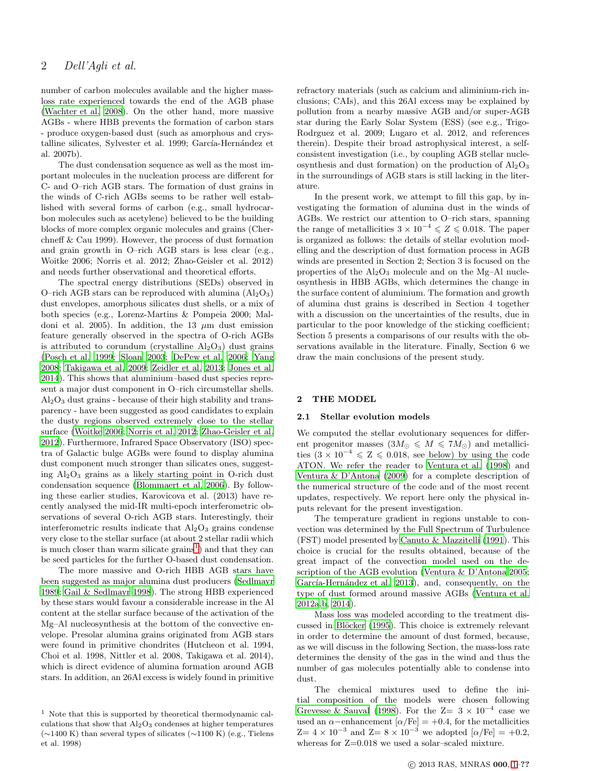# 2 Dell'Agli et al.

number of carbon molecules available and the higher massloss rate experienced towards the end of the AGB phase [\(Wachter et al. 2008\)](#page-11-12). On the other hand, more massive AGBs - where HBB prevents the formation of carbon stars - produce oxygen-based dust (such as amorphous and crystalline silicates, Sylvester et al. 1999; García-Hernández et al. 2007b).

The dust condensation sequence as well as the most important molecules in the nucleation process are different for C- and O–rich AGB stars. The formation of dust grains in the winds of C-rich AGBs seems to be rather well established with several forms of carbon (e.g., small hydrocarbon molecules such as acetylene) believed to be the building blocks of more complex organic molecules and grains (Cherchneff & Cau 1999). However, the process of dust formation and grain growth in O–rich AGB stars is less clear (e.g., Woitke 2006; Norris et al. 2012; Zhao-Geisler et al. 2012) and needs further observational and theoretical efforts.

The spectral energy distributions (SEDs) observed in O–rich AGB stars can be reproduced with alumina  $(A<sub>2</sub>O<sub>3</sub>)$ dust envelopes, amorphous silicates dust shells, or a mix of both species (e.g., Lorenz-Martins & Pompeia 2000; Maldoni et al. 2005). In addition, the 13  $\mu$ m dust emission feature generally observed in the spectra of O-rich AGBs is attributed to corundum (crystalline  $Al_2O_3$ ) dust grains [\(Posch et al. 1999](#page-11-13); [Sloan 2003;](#page-11-14) [DePew et al. 2006;](#page-11-15) [Yang](#page-11-16) [2008](#page-11-16); [Takigawa et al. 2009;](#page-11-17) [Zeidler et al. 2013](#page-12-0); [Jones et al.](#page-11-18) [2014](#page-11-18)). This shows that aluminium–based dust species represent a major dust component in O–rich circumstellar shells.  $\text{Al}_2\text{O}_3$  dust grains - because of their high stability and transparency - have been suggested as good candidates to explain the dusty regions observed extremely close to the stellar surface [\(Woitke 2006](#page-11-19); [Norris et al. 2012](#page-11-20); [Zhao-Geisler et al.](#page-12-1) [2012](#page-12-1)). Furthermore, Infrared Space Observatory (ISO) spectra of Galactic bulge AGBs were found to display alumina dust component much stronger than silicates ones, suggesting  $Al_2O_3$  grains as a likely starting point in O-rich dust condensation sequence [\(Blommaert et al. 2006](#page-11-21)). By following these earlier studies, Karovicova et al. (2013) have recently analysed the mid-IR multi-epoch interferometric observations of several O-rich AGB stars. Interestingly, their interferometric results indicate that  $Al_2O_3$  grains condense very close to the stellar surface (at about 2 stellar radii which is much closer than warm silicate  $grains<sup>1</sup>$  $grains<sup>1</sup>$  $grains<sup>1</sup>$  and that they can be seed particles for the further O-based dust condensation.

The more massive and O-rich HBB AGB stars have been suggested as major alumina dust producers [\(Sedlmayr](#page-11-22) [1989](#page-11-22); [Gail & Sedlmayr 1998](#page-11-23)). The strong HBB experienced by these stars would favour a considerable increase in the Al content at the stellar surface because of the activation of the Mg–Al nucleosynthesis at the bottom of the convective envelope. Presolar alumina grains originated from AGB stars were found in primitive chondrites (Hutcheon et al. 1994, Choi et al. 1998, Nittler et al. 2008, Takigawa et al. 2014), which is direct evidence of alumina formation around AGB stars. In addition, an 26Al excess is widely found in primitive refractory materials (such as calcium and aliminium-rich inclusions; CAIs), and this 26Al excess may be explained by pollution from a nearby massive AGB and/or super-AGB star during the Early Solar System (ESS) (see e.g., Trigo-Rodrguez et al. 2009; Lugaro et al. 2012, and references therein). Despite their broad astrophysical interest, a selfconsistent investigation (i.e., by coupling AGB stellar nucleosynthesis and dust formation) on the production of  $Al_2O_3$ in the surroundings of AGB stars is still lacking in the literature.

In the present work, we attempt to fill this gap, by investigating the formation of alumina dust in the winds of AGBs. We restrict our attention to O–rich stars, spanning the range of metallicities  $3 \times 10^{-4} \leqslant Z \leqslant 0.018$ . The paper is organized as follows: the details of stellar evolution modelling and the description of dust formation process in AGB winds are presented in Section 2; Section 3 is focused on the properties of the  $Al_2O_3$  molecule and on the Mg–Al nucleosynthesis in HBB AGBs, which determines the change in the surface content of aluminium. The formation and growth of alumina dust grains is described in Section 4 together with a discussion on the uncertainties of the results, due in particular to the poor knowledge of the sticking coefficient; Section 5 presents a comparisons of our results with the observations available in the literature. Finally, Section 6 we draw the main conclusions of the present study.

#### 2 THE MODEL

# 2.1 Stellar evolution models

We computed the stellar evolutionary sequences for different progenitor masses  $(3M_{\odot} \leqslant M \leqslant 7M_{\odot})$  and metallicities  $(3 \times 10^{-4} \leqslant Z \leqslant 0.018$ , see below) by using the code ATON. We refer the reader to [Ventura et al. \(1998](#page-11-24)) and [Ventura & D'Antona \(2009](#page-11-25)) for a complete description of the numerical structure of the code and of the most recent updates, respectively. We report here only the physical inputs relevant for the present investigation.

The temperature gradient in regions unstable to convection was determined by the Full Spectrum of Turbulence (FST) model presented by [Canuto & Mazzitelli \(1991\)](#page-11-26). This choice is crucial for the results obtained, because of the great impact of the convection model used on the description of the AGB evolution [\(Ventura & D'Antona 2005](#page-11-27); García-Hernández et al. 2013), and, consequently, on the type of dust formed around massive AGBs [\(Ventura et al.](#page-11-9) [2012a](#page-11-9)[,b,](#page-11-10) [2014\)](#page-11-11).

Mass loss was modeled according to the treatment discussed in Blöcker (1995). This choice is extremely relevant in order to determine the amount of dust formed, because, as we will discuss in the following Section, the mass-loss rate determines the density of the gas in the wind and thus the number of gas molecules potentially able to condense into dust.

The chemical mixtures used to define the initial composition of the models were chosen following [Grevesse & Sauval \(1998](#page-11-30)). For the  $Z = 3 \times 10^{-4}$  case we used an  $\alpha$ –enhancement  $\alpha$ /Fe] = +0.4, for the metallicities  $Z= 4 \times 10^{-3}$  and  $Z= 8 \times 10^{-3}$  we adopted  $\alpha$ /Fe] = +0.2, whereas for  $Z=0.018$  we used a solar-scaled mixture.

<span id="page-1-0"></span> $<sup>1</sup>$  Note that this is supported by theoretical thermodynamic cal-</sup> culations that show that  $Al_2O_3$  condenses at higher temperatures (∼1400 K) than several types of silicates (∼1100 K) (e.g., Tielens et al. 1998)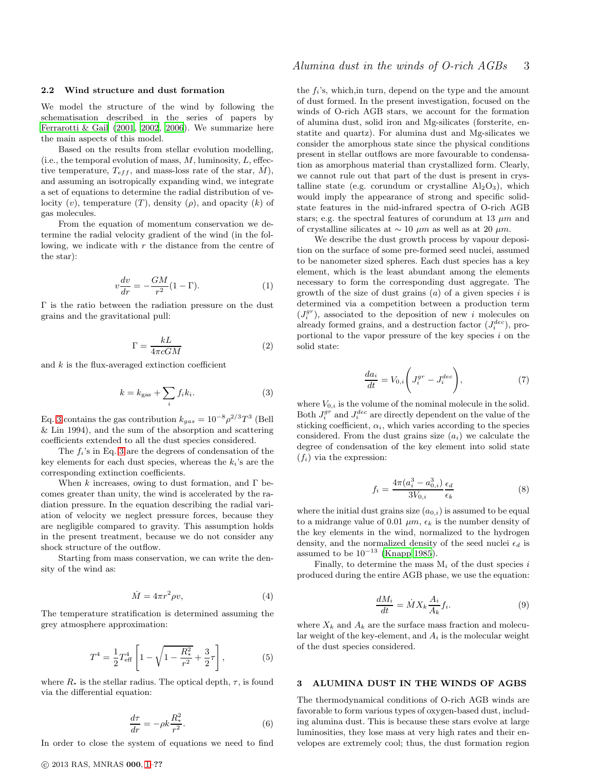#### 2.2 Wind structure and dust formation

We model the structure of the wind by following the schematisation described in the series of papers by [Ferrarotti & Gail \(2001](#page-11-1), [2002](#page-11-2), [2006\)](#page-11-3). We summarize here the main aspects of this model.

Based on the results from stellar evolution modelling, (i.e., the temporal evolution of mass,  $M$ , luminosity,  $L$ , effective temperature,  $T_{eff}$ , and mass-loss rate of the star,  $\dot{M}$ ), and assuming an isotropically expanding wind, we integrate a set of equations to determine the radial distribution of velocity  $(v)$ , temperature  $(T)$ , density  $(\rho)$ , and opacity  $(k)$  of gas molecules.

From the equation of momentum conservation we determine the radial velocity gradient of the wind (in the following, we indicate with  $r$  the distance from the centre of the star):

$$
v\frac{dv}{dr} = -\frac{GM}{r^2}(1-\Gamma). \tag{1}
$$

Γ is the ratio between the radiation pressure on the dust grains and the gravitational pull:

$$
\Gamma = \frac{kL}{4\pi cGM} \tag{2}
$$

and  $k$  is the flux-averaged extinction coefficient

<span id="page-2-0"></span>
$$
k = k_{\text{gas}} + \sum_{i} f_i k_i.
$$
 (3)

Eq. [3](#page-2-0) contains the gas contribution  $k_{gas} = 10^{-8} \rho^{2/3} T^3$  (Bell & Lin 1994), and the sum of the absorption and scattering coefficients extended to all the dust species considered.

The  $f_i$ 's in Eq. [3](#page-2-0) are the degrees of condensation of the key elements for each dust species, whereas the  $k_i$ 's are the corresponding extinction coefficients.

When k increases, owing to dust formation, and  $\Gamma$  becomes greater than unity, the wind is accelerated by the radiation pressure. In the equation describing the radial variation of velocity we neglect pressure forces, because they are negligible compared to gravity. This assumption holds in the present treatment, because we do not consider any shock structure of the outflow.

Starting from mass conservation, we can write the density of the wind as:

$$
\dot{M} = 4\pi r^2 \rho v,\tag{4}
$$

The temperature stratification is determined assuming the grey atmosphere approximation:

<span id="page-2-1"></span>
$$
T^{4} = \frac{1}{2} T_{\text{eff}}^{4} \left[ 1 - \sqrt{1 - \frac{R_{*}^{2}}{r^{2}} + \frac{3}{2} \tau} \right],
$$
 (5)

where  $R_*$  is the stellar radius. The optical depth,  $\tau$ , is found via the differential equation:

<span id="page-2-2"></span>
$$
\frac{d\tau}{dr} = -\rho k \frac{R_*^2}{r^2}.\tag{6}
$$

In order to close the system of equations we need to find

the  $f_i$ 's, which, in turn, depend on the type and the amount of dust formed. In the present investigation, focused on the winds of O-rich AGB stars, we account for the formation of alumina dust, solid iron and Mg-silicates (forsterite, enstatite and quartz). For alumina dust and Mg-silicates we consider the amorphous state since the physical conditions present in stellar outflows are more favourable to condensation as amorphous material than crystallized form. Clearly, we cannot rule out that part of the dust is present in crystalline state (e.g. corundum or crystalline  $Al_2O_3$ ), which would imply the appearance of strong and specific solidstate features in the mid-infrared spectra of O-rich AGB stars; e.g. the spectral features of corundum at 13  $\mu$ m and of crystalline silicates at  $\sim 10 \ \mu m$  as well as at 20  $\mu m$ .

We describe the dust growth process by vapour deposition on the surface of some pre-formed seed nuclei, assumed to be nanometer sized spheres. Each dust species has a key element, which is the least abundant among the elements necessary to form the corresponding dust aggregate. The growth of the size of dust grains  $(a)$  of a given species i is determined via a competition between a production term  $(J_i^{gr})$ , associated to the deposition of new i molecules on already formed grains, and a destruction factor  $(J_i^{dec})$ , proportional to the vapor pressure of the key species  $i$  on the solid state:

$$
\frac{da_i}{dt} = V_{0,i} \left( J_i^{gr} - J_i^{dec} \right),\tag{7}
$$

where  $V_{0,i}$  is the volume of the nominal molecule in the solid. Both  $J_i^{gr}$  and  $J_i^{dec}$  are directly dependent on the value of the sticking coefficient,  $\alpha_i$ , which varies according to the species considered. From the dust grains size  $(a_i)$  we calculate the degree of condensation of the key element into solid state  $(f_i)$  via the expression:

<span id="page-2-3"></span>
$$
f_i = \frac{4\pi (a_i^3 - a_{0,i}^3)}{3V_{0,i}} \frac{\epsilon_d}{\epsilon_k}
$$
 (8)

where the initial dust grains size  $(a_{0,i})$  is assumed to be equal to a midrange value of 0.01  $\mu$ m,  $\epsilon_k$  is the number density of the key elements in the wind, normalized to the hydrogen density, and the normalized density of the seed nuclei  $\epsilon_d$  is assumed to be  $10^{-13}$  [\(Knapp 1985\)](#page-11-31).

Finally, to determine the mass  $M_i$  of the dust species i produced during the entire AGB phase, we use the equation:

<span id="page-2-4"></span>
$$
\frac{dM_i}{dt} = \dot{M}X_k \frac{A_i}{A_k} f_i.
$$
\n(9)

where  $X_k$  and  $A_k$  are the surface mass fraction and molecular weight of the key-element, and  $A_i$  is the molecular weight of the dust species considered.

#### 3 ALUMINA DUST IN THE WINDS OF AGBS

The thermodynamical conditions of O-rich AGB winds are favorable to form various types of oxygen-based dust, including alumina dust. This is because these stars evolve at large luminosities, they lose mass at very high rates and their envelopes are extremely cool; thus, the dust formation region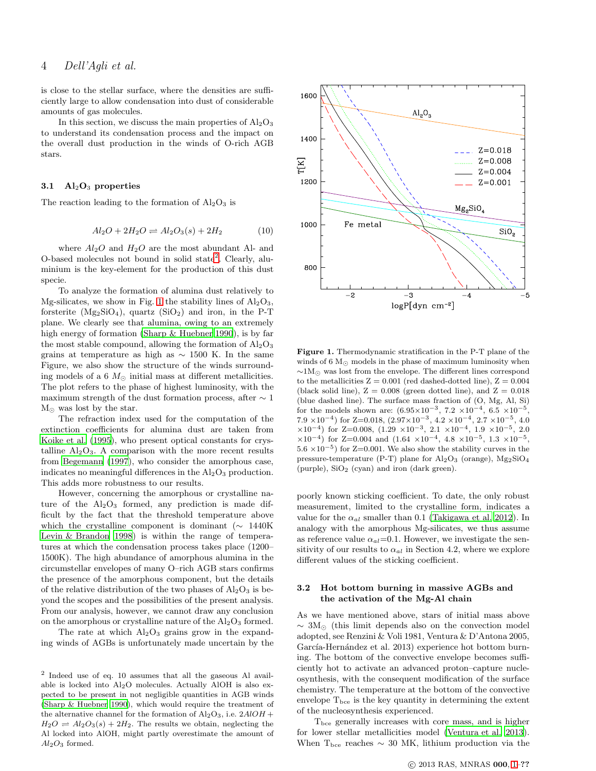# 4 Dell'Agli et al.

is close to the stellar surface, where the densities are sufficiently large to allow condensation into dust of considerable amounts of gas molecules.

In this section, we discuss the main properties of  $\text{Al}_2\text{O}_3$ to understand its condensation process and the impact on the overall dust production in the winds of O-rich AGB stars.

#### 3.1  $\mathrm{Al}_2\mathrm{O}_3$  properties

The reaction leading to the formation of  $\text{Al}_2\text{O}_3$  is

$$
Al_2O + 2H_2O \rightleftharpoons Al_2O_3(s) + 2H_2 \tag{10}
$$

where  $Al_2O$  and  $H_2O$  are the most abundant Al- and O-based molecules not bound in solid state<sup>[2](#page-3-0)</sup>. Clearly, aluminium is the key-element for the production of this dust specie.

To analyze the formation of alumina dust relatively to Mg-silicates, we show in Fig. [1](#page-3-1) the stability lines of  $Al_2O_3$ , forsterite  $(Mg_2SiO_4)$ , quartz  $(SiO_2)$  and iron, in the P-T plane. We clearly see that alumina, owing to an extremely high energy of formation [\(Sharp & Huebner 1990](#page-11-32)), is by far the most stable compound, allowing the formation of  $Al_2O_3$ grains at temperature as high as  $\sim 1500$  K. In the same Figure, we also show the structure of the winds surrounding models of a 6  $M_{\odot}$  initial mass at different metallicities. The plot refers to the phase of highest luminosity, with the maximum strength of the dust formation process, after  $\sim 1$  $M_{\odot}$  was lost by the star.

The refraction index used for the computation of the extinction coefficients for alumina dust are taken from [Koike et al. \(1995](#page-11-33)), who present optical constants for crystalline  $Al_2O_3$ . A comparison with the more recent results from [Begemann \(1997\)](#page-11-34), who consider the amorphous case, indicates no meaningful differences in the  $Al<sub>2</sub>O<sub>3</sub>$  production. This adds more robustness to our results.

However, concerning the amorphous or crystalline nature of the  $Al_2O_3$  formed, any prediction is made difficult by the fact that the threshold temperature above which the crystalline component is dominant ( $\sim 1440K$ [Levin & Brandon 1998](#page-11-35)) is within the range of temperatures at which the condensation process takes place (1200– 1500K). The high abundance of amorphous alumina in the circumstellar envelopes of many O–rich AGB stars confirms the presence of the amorphous component, but the details of the relative distribution of the two phases of  $Al_2O_3$  is beyond the scopes and the possibilities of the present analysis. From our analysis, however, we cannot draw any conclusion on the amorphous or crystalline nature of the  $Al_2O_3$  formed.

The rate at which  $Al_2O_3$  grains grow in the expanding winds of AGBs is unfortunately made uncertain by the



<span id="page-3-1"></span>Figure 1. Thermodynamic stratification in the P-T plane of the winds of 6  $M_{\odot}$  models in the phase of maximum luminosity when  $\sim$ 1M<sub>⊙</sub> was lost from the envelope. The different lines correspond to the metallicities  $Z = 0.001$  (red dashed-dotted line),  $Z = 0.004$ (black solid line),  $Z = 0.008$  (green dotted line), and  $Z = 0.018$ (blue dashed line). The surface mass fraction of (O, Mg, Al, Si) for the models shown are:  $(6.95 \times 10^{-3}, 7.2 \times 10^{-4}, 6.5 \times 10^{-5},$ 7.9 × 10<sup>-4</sup>) for Z=0.018,  $(2.97\times10^{-3}, 4.2\times10^{-4}, 2.7\times10^{-5}, 4.0)$  $\times 10^{-4}$ ) for Z=0.008, (1.29  $\times 10^{-3}$ , 2.1  $\times 10^{-4}$ , 1.9  $\times 10^{-5}$ , 2.0  $\times 10^{-4}$ ) for Z=0.004 and  $(1.64 \times 10^{-4}, 4.8 \times 10^{-5}, 1.3 \times 10^{-5},$  $5.6 \times 10^{-5}$ ) for Z=0.001. We also show the stability curves in the pressure-temperature (P-T) plane for  $\text{Al}_2\text{O}_3$  (orange),  $\text{Mg}_2\text{SiO}_4$ (purple),  $SiO<sub>2</sub>$  (cyan) and iron (dark green).

poorly known sticking coefficient. To date, the only robust measurement, limited to the crystalline form, indicates a value for the  $\alpha_{al}$  smaller than 0.1 [\(Takigawa et al. 2012\)](#page-11-36). In analogy with the amorphous Mg-silicates, we thus assume as reference value  $\alpha_{al}=0.1$ . However, we investigate the sensitivity of our results to  $\alpha_{al}$  in Section 4.2, where we explore different values of the sticking coefficient.

# 3.2 Hot bottom burning in massive AGBs and the activation of the Mg-Al chain

As we have mentioned above, stars of initial mass above  $\sim 3M_{\odot}$  (this limit depends also on the convection model adopted, see Renzini & Voli 1981, Ventura & D'Antona 2005, García-Hernández et al. 2013) experience hot bottom burning. The bottom of the convective envelope becomes sufficiently hot to activate an advanced proton–capture nucleosynthesis, with the consequent modification of the surface chemistry. The temperature at the bottom of the convective envelope  $T_{\text{bce}}$  is the key quantity in determining the extent of the nucleosynthesis experienced.

Tbce generally increases with core mass, and is higher for lower stellar metallicities model [\(Ventura et al. 2013](#page-11-37)). When  $T_{\text{bce}}$  reaches  $\sim$  30 MK, lithium production via the

<span id="page-3-0"></span><sup>2</sup> Indeed use of eq. 10 assumes that all the gaseous Al available is locked into Al2O molecules. Actually AlOH is also expected to be present in not negligible quantities in AGB winds [\(Sharp & Huebner 1990\)](#page-11-32), which would require the treatment of the alternative channel for the formation of  $Al_2O_3$ , i.e.  $2AlOH +$  $H_2O \rightleftharpoons Al_2O_3(s) + 2H_2$ . The results we obtain, neglecting the Al locked into AlOH, might partly overestimate the amount of  $Al_2O_3$  formed.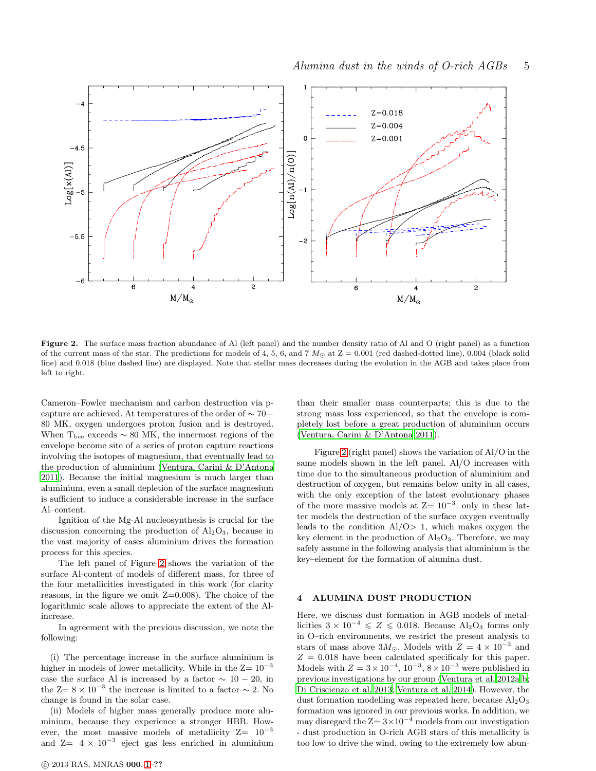

<span id="page-4-0"></span>Figure 2. The surface mass fraction abundance of Al (left panel) and the number density ratio of Al and O (right panel) as a function of the current mass of the star. The predictions for models of 4, 5, 6, and 7  $M_{\odot}$  at  $Z = 0.001$  (red dashed-dotted line), 0.004 (black solid line) and 0.018 (blue dashed line) are displayed. Note that stellar mass decreases during the evolution in the AGB and takes place from left to right.

Cameron–Fowler mechanism and carbon destruction via pcapture are achieved. At temperatures of the order of ∼ 70− 80 MK, oxygen undergoes proton fusion and is destroyed. When  $T_{\text{bce}}$  exceeds  $\sim 80$  MK, the innermost regions of the envelope become site of a series of proton capture reactions involving the isotopes of magnesium, that eventually lead to the production of aluminium [\(Ventura, Carini & D'Antona](#page-11-38) [2011](#page-11-38)). Because the initial magnesium is much larger than aluminium, even a small depletion of the surface magnesium is sufficient to induce a considerable increase in the surface Al–content.

Ignition of the Mg-Al nucleosynthesis is crucial for the discussion concerning the production of  $Al_2O_3$ , because in the vast majority of cases aluminium drives the formation process for this species.

The left panel of Figure [2](#page-4-0) shows the variation of the surface Al-content of models of different mass, for three of the four metallicities investigated in this work (for clarity reasons, in the figure we omit  $Z=0.008$ ). The choice of the logarithmic scale allows to appreciate the extent of the Alincrease.

In agreement with the previous discussion, we note the following:

(i) The percentage increase in the surface aluminium is higher in models of lower metallicity. While in the  $Z=10^{-3}$ case the surface Al is increased by a factor  $\sim 10 - 20$ , in the  $Z=8\times10^{-3}$  the increase is limited to a factor  $\sim 2$ . No change is found in the solar case.

(ii) Models of higher mass generally produce more aluminium, because they experience a stronger HBB. However, the most massive models of metallicity  $Z= 10^{-3}$ and  $Z= 4 \times 10^{-3}$  eject gas less enriched in aluminium

c 2013 RAS, MNRAS 000, [1–](#page-0-0)??

than their smaller mass counterparts; this is due to the strong mass loss experienced, so that the envelope is completely lost before a great production of aluminium occurs [\(Ventura, Carini & D'Antona 2011](#page-11-38)).

Figure [2](#page-4-0) (right panel) shows the variation of Al/O in the same models shown in the left panel. Al/O increases with time due to the simultaneous production of aluminium and destruction of oxygen, but remains below unity in all cases, with the only exception of the latest evolutionary phases of the more massive models at  $Z=10^{-3}$ : only in these latter models the destruction of the surface oxygen eventually leads to the condition  $A1/O > 1$ , which makes oxygen the key element in the production of  $Al_2O_3$ . Therefore, we may safely assume in the following analysis that aluminium is the key–element for the formation of alumina dust.

# 4 ALUMINA DUST PRODUCTION

Here, we discuss dust formation in AGB models of metallicities  $3 \times 10^{-4} \leqslant Z \leqslant 0.018$ . Because Al<sub>2</sub>O<sub>3</sub> forms only in O–rich environments, we restrict the present analysis to stars of mass above  $3M_{\odot}$ . Models with  $Z = 4 \times 10^{-3}$  and  $Z = 0.018$  have been calculated specificaly for this paper. Models with  $Z = 3 \times 10^{-4}$ ,  $10^{-3}$ ,  $8 \times 10^{-3}$  were published in previous investigations by our group [\(Ventura et al. 2012a](#page-11-9)[,b;](#page-11-10) [Di Criscienzo et al. 2013](#page-11-39); [Ventura et al. 2014](#page-11-11)). However, the dust formation modelling was repeated here, because  $Al_2O_3$ formation was ignored in our previous works. In addition, we may disregard the  $Z=3\times10^{-4}$  models from our investigation - dust production in O-rich AGB stars of this metallicity is too low to drive the wind, owing to the extremely low abun-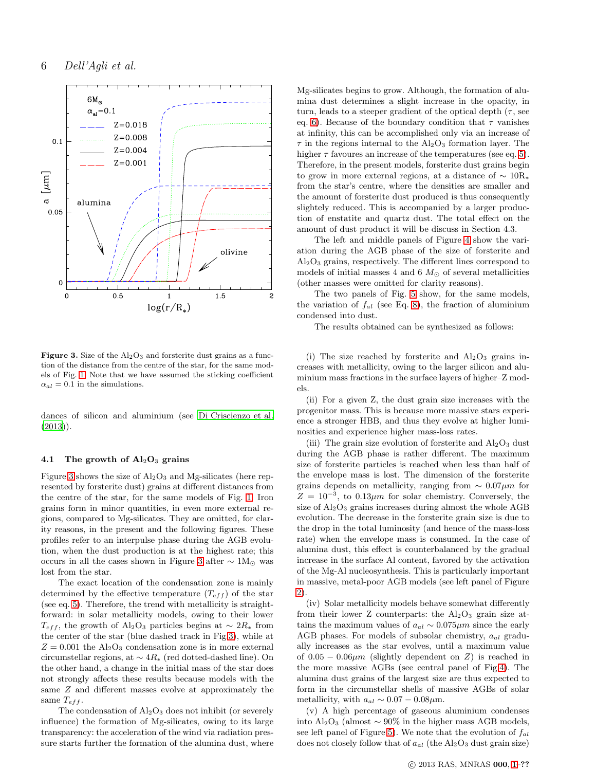

<span id="page-5-0"></span>Figure 3. Size of the  $Al_2O_3$  and forsterite dust grains as a function of the distance from the centre of the star, for the same models of Fig. [1.](#page-3-1) Note that we have assumed the sticking coefficient  $\alpha_{al} = 0.1$  in the simulations.

dances of silicon and aluminium (see [Di Criscienzo et al.](#page-11-39)  $(2013)$  $(2013)$ .

#### 4.1 The growth of  $Al_2O_3$  grains

Figure [3](#page-5-0) shows the size of  $\text{Al}_2\text{O}_3$  and Mg-silicates (here represented by forsterite dust) grains at different distances from the centre of the star, for the same models of Fig. [1.](#page-3-1) Iron grains form in minor quantities, in even more external regions, compared to Mg-silicates. They are omitted, for clarity reasons, in the present and the following figures. These profiles refer to an interpulse phase during the AGB evolution, when the dust production is at the highest rate; this occurs in all the cases shown in Figure [3](#page-5-0) after  $\sim 1 M_{\odot}$  was lost from the star.

The exact location of the condensation zone is mainly determined by the effective temperature  $(T_{eff})$  of the star (see eq. [5\)](#page-2-1). Therefore, the trend with metallicity is straightforward: in solar metallicity models, owing to their lower  $T_{eff}$ , the growth of Al<sub>2</sub>O<sub>3</sub> particles begins at ~ 2R<sub>∗</sub> from the center of the star (blue dashed track in Fig[.3\)](#page-5-0), while at  $Z = 0.001$  the Al<sub>2</sub>O<sub>3</sub> condensation zone is in more external circumstellar regions, at ∼ 4R<sup>∗</sup> (red dotted-dashed line). On the other hand, a change in the initial mass of the star does not strongly affects these results because models with the same Z and different masses evolve at approximately the same  $T_{eff}$ .

The condensation of  $Al_2O_3$  does not inhibit (or severely influence) the formation of Mg-silicates, owing to its large transparency: the acceleration of the wind via radiation pressure starts further the formation of the alumina dust, where Mg-silicates begins to grow. Although, the formation of alumina dust determines a slight increase in the opacity, in turn, leads to a steeper gradient of the optical depth  $(\tau, \text{see})$ eq. [6\)](#page-2-2). Because of the boundary condition that  $\tau$  vanishes at infinity, this can be accomplished only via an increase of  $\tau$  in the regions internal to the Al<sub>2</sub>O<sub>3</sub> formation layer. The higher  $\tau$  favoures an increase of the temperatures (see eq. [5\)](#page-2-1). Therefore, in the present models, forsterite dust grains begin to grow in more external regions, at a distance of  $\sim 10R_*$ from the star's centre, where the densities are smaller and the amount of forsterite dust produced is thus consequently slightely reduced. This is accompanied by a larger production of enstatite and quartz dust. The total effect on the amount of dust product it will be discuss in Section 4.3.

The left and middle panels of Figure [4](#page-6-0) show the variation during the AGB phase of the size of forsterite and  $Al<sub>2</sub>O<sub>3</sub>$  grains, respectively. The different lines correspond to models of initial masses 4 and 6  $M_{\odot}$  of several metallicities (other masses were omitted for clarity reasons).

The two panels of Fig. [5](#page-6-1) show, for the same models, the variation of  $f_{al}$  (see Eq. [8\)](#page-2-3), the fraction of aluminium condensed into dust.

The results obtained can be synthesized as follows:

(i) The size reached by forsterite and  $Al_2O_3$  grains increases with metallicity, owing to the larger silicon and aluminium mass fractions in the surface layers of higher–Z models.

(ii) For a given Z, the dust grain size increases with the progenitor mass. This is because more massive stars experience a stronger HBB, and thus they evolve at higher luminosities and experience higher mass-loss rates.

(iii) The grain size evolution of forsterite and  $\text{Al}_2\text{O}_3$  dust during the AGB phase is rather different. The maximum size of forsterite particles is reached when less than half of the envelope mass is lost. The dimension of the forsterite grains depends on metallicity, ranging from  $\sim 0.07 \mu m$  for  $Z = 10^{-3}$ , to 0.13 $\mu$ m for solar chemistry. Conversely, the size of Al2O<sup>3</sup> grains increases during almost the whole AGB evolution. The decrease in the forsterite grain size is due to the drop in the total luminosity (and hence of the mass-loss rate) when the envelope mass is consumed. In the case of alumina dust, this effect is counterbalanced by the gradual increase in the surface Al content, favored by the activation of the Mg-Al nucleosynthesis. This is particularly important in massive, metal-poor AGB models (see left panel of Figure [2\)](#page-4-0).

(iv) Solar metallicity models behave somewhat differently from their lower Z counterparts: the  $Al_2O_3$  grain size attains the maximum values of  $a_{al} \sim 0.075 \mu m$  since the early AGB phases. For models of subsolar chemistry,  $a_{al}$  gradually increases as the star evolves, until a maximum value of  $0.05 - 0.06 \mu m$  (slightly dependent on Z) is reached in the more massive AGBs (see central panel of Fig[.4\)](#page-6-0). The alumina dust grains of the largest size are thus expected to form in the circumstellar shells of massive AGBs of solar metallicity, with  $a_{al} \sim 0.07 - 0.08 \mu \text{m}$ .

(v) A high percentage of gaseous aluminium condenses into Al2O<sup>3</sup> (almost ∼ 90% in the higher mass AGB models, see left panel of Figure [5\)](#page-6-1). We note that the evolution of  $f_{al}$ does not closely follow that of  $a_{al}$  (the Al<sub>2</sub>O<sub>3</sub> dust grain size)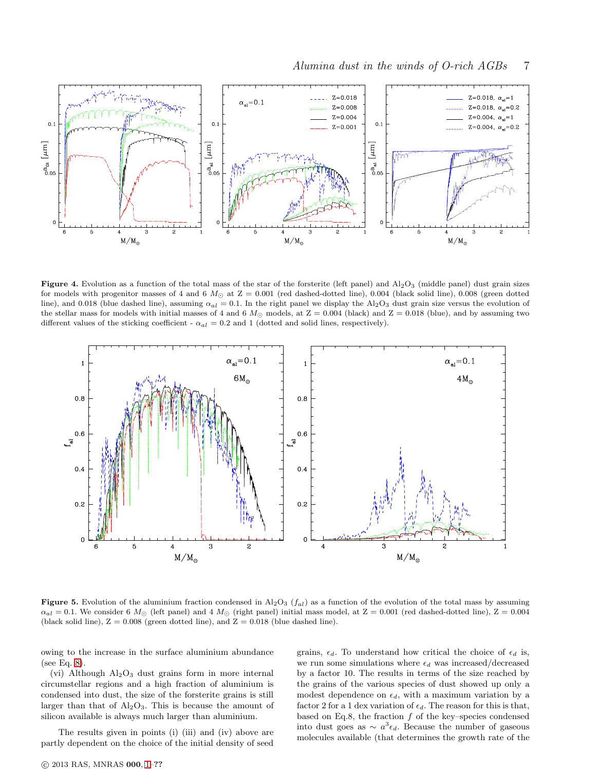

<span id="page-6-0"></span>**Figure 4.** Evolution as a function of the total mass of the star of the forsterite (left panel) and  $A_1_2O_3$  (middle panel) dust grain sizes for models with progenitor masses of 4 and 6  $M_{\odot}$  at Z = 0.001 (red dashed-dotted line), 0.004 (black solid line), 0.008 (green dotted line), and 0.018 (blue dashed line), assuming  $\alpha_{al} = 0.1$ . In the right panel we display the Al<sub>2</sub>O<sub>3</sub> dust grain size versus the evolution of the stellar mass for models with initial masses of 4 and 6  $M_{\odot}$  models, at  $Z = 0.004$  (black) and  $Z = 0.018$  (blue), and by assuming two different values of the sticking coefficient -  $\alpha_{al} = 0.2$  and 1 (dotted and solid lines, respectively).



<span id="page-6-1"></span>Figure 5. Evolution of the aluminium fraction condensed in Al<sub>2</sub>O<sub>3</sub> ( $f_{al}$ ) as a function of the evolution of the total mass by assuming  $\alpha_{al} = 0.1$ . We consider 6  $M_{\odot}$  (left panel) and 4  $M_{\odot}$  (right panel) initial mass model, at  $Z = 0.001$  (red dashed-dotted line),  $Z = 0.004$ (black solid line),  $Z = 0.008$  (green dotted line), and  $Z = 0.018$  (blue dashed line).

owing to the increase in the surface aluminium abundance (see Eq. [8\)](#page-2-3).

(vi) Although  $Al_2O_3$  dust grains form in more internal circumstellar regions and a high fraction of aluminium is condensed into dust, the size of the forsterite grains is still larger than that of  $Al_2O_3$ . This is because the amount of silicon available is always much larger than aluminium.

The results given in points (i) (iii) and (iv) above are partly dependent on the choice of the initial density of seed grains,  $\epsilon_d$ . To understand how critical the choice of  $\epsilon_d$  is, we run some simulations where  $\epsilon_d$  was increased/decreased by a factor 10. The results in terms of the size reached by the grains of the various species of dust showed up only a modest dependence on  $\epsilon_d$ , with a maximum variation by a factor 2 for a 1 dex variation of  $\epsilon_d$ . The reason for this is that, based on Eq.8, the fraction  $f$  of the key–species condensed into dust goes as  $\sim a^3 \epsilon_d$ . Because the number of gaseous molecules available (that determines the growth rate of the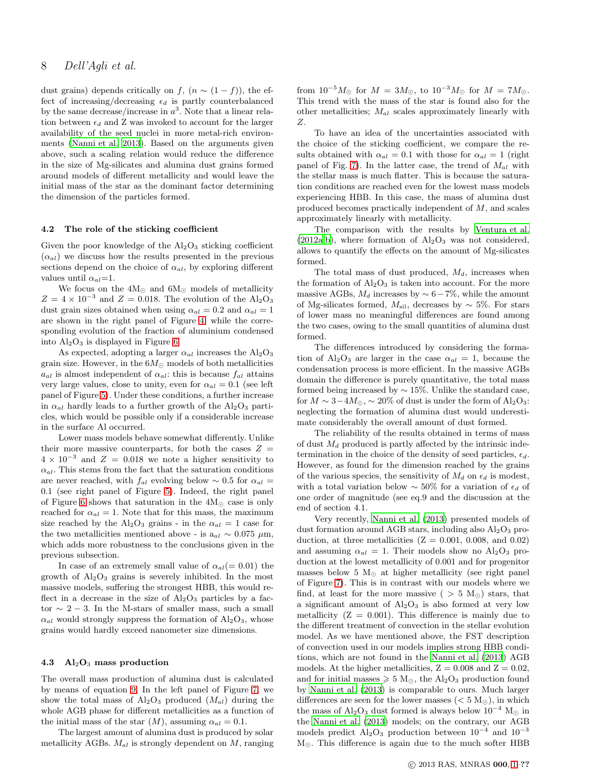# 8 Dell'Agli et al.

dust grains) depends critically on f,  $(n \sim (1 - f))$ , the effect of increasing/decreasing  $\epsilon_d$  is partly counterbalanced by the same decrease/increase in  $a^3$ . Note that a linear relation between  $\epsilon_d$  and Z was invoked to account for the larger availability of the seed nuclei in more metal-rich environments [\(Nanni et al. 2013](#page-11-40)). Based on the arguments given above, such a scaling relation would reduce the difference in the size of Mg-silicates and alumina dust grains formed around models of different metallicity and would leave the initial mass of the star as the dominant factor determining the dimension of the particles formed.

# 4.2 The role of the sticking coefficient

Given the poor knowledge of the  $Al_2O_3$  sticking coefficient  $(\alpha_{al})$  we discuss how the results presented in the previous sections depend on the choice of  $\alpha_{al}$ , by exploring different values until  $\alpha_{al}=1$ .

We focus on the  $4{\rm M}_{\odot}$  and  $6{\rm M}_{\odot}$  models of metallicity  $Z = 4 \times 10^{-3}$  and  $Z = 0.018$ . The evolution of the Al<sub>2</sub>O<sub>3</sub> dust grain sizes obtained when using  $\alpha_{al} = 0.2$  and  $\alpha_{al} = 1$ are shown in the right panel of Figure [4,](#page-6-0) while the corresponding evolution of the fraction of aluminium condensed into  $Al_2O_3$  is displayed in Figure [6.](#page-8-0)

As expected, adopting a larger  $\alpha_{al}$  increases the Al<sub>2</sub>O<sub>3</sub> grain size. However, in the  $6M_{\odot}$  models of both metallicities  $a_{al}$  is almost independent of  $\alpha_{al}$ : this is because  $f_{al}$  attains very large values, close to unity, even for  $\alpha_{al} = 0.1$  (see left panel of Figure [5\)](#page-6-1). Under these conditions, a further increase in  $\alpha_{al}$  hardly leads to a further growth of the  $Al_2O_3$  particles, which would be possible only if a considerable increase in the surface Al occurred.

Lower mass models behave somewhat differently. Unlike their more massive counterparts, for both the cases  $Z =$  $4 \times 10^{-3}$  and  $Z = 0.018$  we note a higher sensitivity to  $\alpha_{al}$ . This stems from the fact that the saturation conditions are never reached, with  $f_{al}$  evolving below ~ 0.5 for  $\alpha_{al}$  = 0.1 (see right panel of Figure [5\)](#page-6-1). Indeed, the right panel of Figure [6](#page-8-0) shows that saturation in the  $4M_{\odot}$  case is only reached for  $\alpha_{al} = 1$ . Note that for this mass, the maximum size reached by the Al<sub>2</sub>O<sub>3</sub> grains - in the  $\alpha_{al} = 1$  case for the two metallicities mentioned above - is  $a_{al} \sim 0.075 \mu m$ , which adds more robustness to the conclusions given in the previous subsection.

In case of an extremely small value of  $\alpha_{al} (= 0.01)$  the growth of  $Al_2O_3$  grains is severely inhibited. In the most massive models, suffering the strongest HBB, this would reflect in a decrease in the size of  $\text{Al}_2\text{O}_3$  particles by a factor  $\sim$  2 − 3. In the M-stars of smaller mass, such a small  $\alpha_{al}$  would strongly suppress the formation of Al<sub>2</sub>O<sub>3</sub>, whose grains would hardly exceed nanometer size dimensions.

#### 4.3  $\mathrm{Al}_2\mathrm{O}_3$  mass production

The overall mass production of alumina dust is calculated by means of equation [9.](#page-2-4) In the left panel of Figure [7,](#page-9-0) we show the total mass of  $\text{Al}_2\text{O}_3$  produced  $(M_{al})$  during the whole AGB phase for different metallicities as a function of the initial mass of the star  $(M)$ , assuming  $\alpha_{al} = 0.1$ .

The largest amount of alumina dust is produced by solar metallicity AGBs.  $M_{al}$  is strongly dependent on  $M$ , ranging from  $10^{-5}M_{\odot}$  for  $M = 3M_{\odot}$ , to  $10^{-3}M_{\odot}$  for  $M = 7M_{\odot}$ . This trend with the mass of the star is found also for the other metallicities;  $M_{al}$  scales approximately linearly with Z.

To have an idea of the uncertainties associated with the choice of the sticking coefficient, we compare the results obtained with  $\alpha_{al} = 0.1$  with those for  $\alpha_{al} = 1$  (right panel of Fig. [7\)](#page-9-0). In the latter case, the trend of  $M_{al}$  with the stellar mass is much flatter. This is because the saturation conditions are reached even for the lowest mass models experiencing HBB. In this case, the mass of alumina dust produced becomes practically independent of M, and scales approximately linearly with metallicity.

The comparison with the results by [Ventura et al.](#page-11-9)  $(2012a,b)$  $(2012a,b)$  $(2012a,b)$ , where formation of  $Al_2O_3$  was not considered, allows to quantify the effects on the amount of Mg-silicates formed.

The total mass of dust produced,  $M_d$ , increases when the formation of  $Al_2O_3$  is taken into account. For the more massive AGBs,  $M_d$  increases by  $\sim 6-7\%$ , while the amount of Mg-silicates formed,  $M_{\rm sil}$ , decreases by  $\sim$  5%. For stars of lower mass no meaningful differences are found among the two cases, owing to the small quantities of alumina dust formed.

The differences introduced by considering the formation of Al<sub>2</sub>O<sub>3</sub> are larger in the case  $\alpha_{al} = 1$ , because the condensation process is more efficient. In the massive AGBs domain the difference is purely quantitative, the total mass formed being increased by  $\sim 15\%$ . Unlike the standard case, for  $M \sim 3-4M_{\odot}$ , ~ 20% of dust is under the form of Al<sub>2</sub>O<sub>3</sub>: neglecting the formation of alumina dust would underestimate considerably the overall amount of dust formed.

The reliability of the results obtained in terms of mass of dust  $M_d$  produced is partly affected by the intrinsic indetermination in the choice of the density of seed particles,  $\epsilon_d$ . However, as found for the dimension reached by the grains of the various species, the sensitivity of  $M_d$  on  $\epsilon_d$  is modest, with a total variation below  $\sim 50\%$  for a variation of  $\epsilon_d$  of one order of magnitude (see eq.9 and the discussion at the end of section 4.1.

Very recently, [Nanni et al. \(2013](#page-11-40)) presented models of dust formation around AGB stars, including also  $Al_2O_3$  production, at three metallicities  $(Z = 0.001, 0.008, \text{ and } 0.02)$ and assuming  $\alpha_{al} = 1$ . Their models show no Al<sub>2</sub>O<sub>3</sub> production at the lowest metallicity of 0.001 and for progenitor masses below 5  $M_{\odot}$  at higher metallicity (see right panel of Figure [7\)](#page-9-0). This is in contrast with our models where we find, at least for the more massive (  $> 5$  M<sub> $\odot$ </sub>) stars, that a significant amount of  $Al_2O_3$  is also formed at very low metallicity  $(Z = 0.001)$ . This difference is mainly due to the different treatment of convection in the stellar evolution model. As we have mentioned above, the FST description of convection used in our models implies strong HBB conditions, which are not found in the [Nanni et al. \(2013\)](#page-11-40) AGB models. At the higher metallicities,  $Z = 0.008$  and  $Z = 0.02$ , and for initial masses  $\geqslant$  5  ${\rm M}_{\odot},$  the Al2O<sub>3</sub> production found by [Nanni et al. \(2013](#page-11-40)) is comparable to ours. Much larger differences are seen for the lower masses ( $< 5 M_{\odot}$ ), in which the mass of Al<sub>2</sub>O<sub>3</sub> dust formed is always below  $10^{-4}$  M<sub>☉</sub> in the [Nanni et al. \(2013](#page-11-40)) models; on the contrary, our AGB models predict  $\text{Al}_2\text{O}_3$  production between  $10^{-4}$  and  $10^{-3}$ M⊙. This difference is again due to the much softer HBB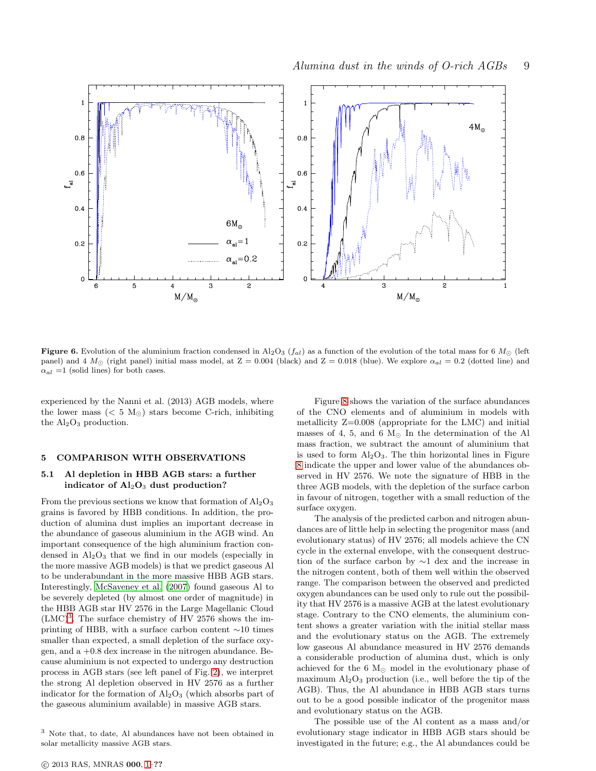

<span id="page-8-0"></span>Figure 6. Evolution of the aluminium fraction condensed in Al<sub>2</sub>O<sub>3</sub> ( $f_{al}$ ) as a function of the evolution of the total mass for 6 M<sub>☉</sub> (left panel) and 4  $M_{\odot}$  (right panel) initial mass model, at Z = 0.004 (black) and Z = 0.018 (blue). We explore  $\alpha_{al}$  = 0.2 (dotted line) and  $\alpha_{al} = 1$  (solid lines) for both cases.

experienced by the Nanni et al. (2013) AGB models, where the lower mass ( $< 5 M_{\odot}$ ) stars become C-rich, inhibiting the  $Al_2O_3$  production.

## 5 COMPARISON WITH OBSERVATIONS

## 5.1 Al depletion in HBB AGB stars: a further indicator of  $Al_2O_3$  dust production?

From the previous sections we know that formation of  $\text{Al}_2\text{O}_3$ grains is favored by HBB conditions. In addition, the production of alumina dust implies an important decrease in the abundance of gaseous aluminium in the AGB wind. An important consequence of the high aluminium fraction condensed in  $Al_2O_3$  that we find in our models (especially in the more massive AGB models) is that we predict gaseous Al to be underabundant in the more massive HBB AGB stars. Interestingly, [McSaveney et al. \(2007](#page-11-41)) found gaseous Al to be severely depleted (by almost one order of magnitude) in the HBB AGB star HV 2576 in the Large Magellanic Cloud  $(LMC)^3$  $(LMC)^3$ . The surface chemistry of HV 2576 shows the imprinting of HBB, with a surface carbon content ∼10 times smaller than expected, a small depletion of the surface oxygen, and a +0.8 dex increase in the nitrogen abundance. Because aluminium is not expected to undergo any destruction process in AGB stars (see left panel of Fig. [2\)](#page-4-0), we interpret the strong Al depletion observed in HV 2576 as a further indicator for the formation of  $Al_2O_3$  (which absorbs part of the gaseous aluminium available) in massive AGB stars.

Figure [8](#page-10-0) shows the variation of the surface abundances of the CNO elements and of aluminium in models with metallicity Z=0.008 (appropriate for the LMC) and initial masses of 4, 5, and 6  $M<sub>©</sub>$  In the determination of the Al mass fraction, we subtract the amount of aluminium that is used to form  $Al_2O_3$ . The thin horizontal lines in Figure [8](#page-10-0) indicate the upper and lower value of the abundances observed in HV 2576. We note the signature of HBB in the three AGB models, with the depletion of the surface carbon in favour of nitrogen, together with a small reduction of the surface oxygen.

The analysis of the predicted carbon and nitrogen abundances are of little help in selecting the progenitor mass (and evolutionary status) of HV 2576; all models achieve the CN cycle in the external envelope, with the consequent destruction of the surface carbon by ∼1 dex and the increase in the nitrogen content, both of them well within the observed range. The comparison between the observed and predicted oxygen abundances can be used only to rule out the possibility that HV 2576 is a massive AGB at the latest evolutionary stage. Contrary to the CNO elements, the aluminium content shows a greater variation with the initial stellar mass and the evolutionary status on the AGB. The extremely low gaseous Al abundance measured in HV 2576 demands a considerable production of alumina dust, which is only achieved for the 6  $M_{\odot}$  model in the evolutionary phase of maximum  $Al_2O_3$  production (i.e., well before the tip of the AGB). Thus, the Al abundance in HBB AGB stars turns out to be a good possible indicator of the progenitor mass and evolutionary status on the AGB.

The possible use of the Al content as a mass and/or evolutionary stage indicator in HBB AGB stars should be investigated in the future; e.g., the Al abundances could be

<span id="page-8-1"></span><sup>3</sup> Note that, to date, Al abundances have not been obtained in solar metallicity massive AGB stars.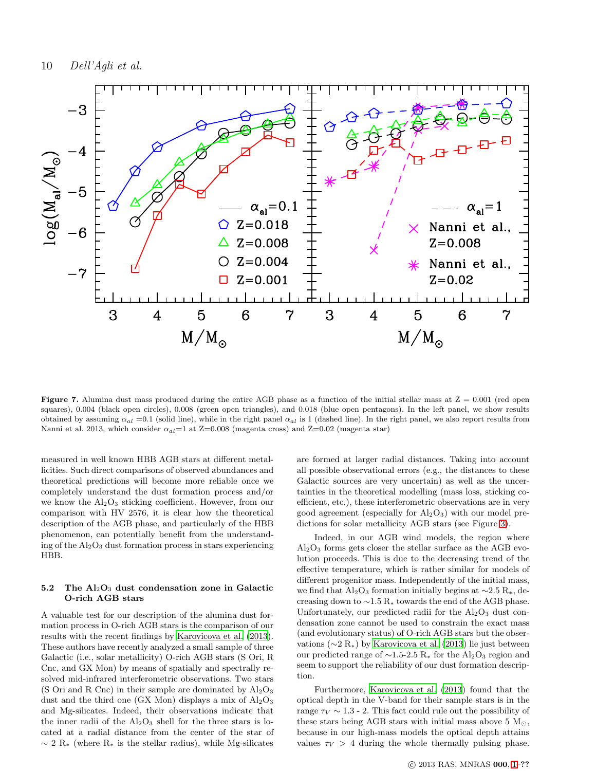

<span id="page-9-0"></span>Figure 7. Alumina dust mass produced during the entire AGB phase as a function of the initial stellar mass at  $Z = 0.001$  (red open squares), 0.004 (black open circles), 0.008 (green open triangles), and 0.018 (blue open pentagons). In the left panel, we show results obtained by assuming  $\alpha_{al} = 0.1$  (solid line), while in the right panel  $\alpha_{al}$  is 1 (dashed line). In the right panel, we also report results from Nanni et al. 2013, which consider  $\alpha_{al}=1$  at Z=0.008 (magenta cross) and Z=0.02 (magenta star)

measured in well known HBB AGB stars at different metallicities. Such direct comparisons of observed abundances and theoretical predictions will become more reliable once we completely understand the dust formation process and/or we know the  $Al_2O_3$  sticking coefficient. However, from our comparison with HV 2576, it is clear how the theoretical description of the AGB phase, and particularly of the HBB phenomenon, can potentially benefit from the understanding of the  $Al_2O_3$  dust formation process in stars experiencing HBB.

# 5.2 The  $Al_2O_3$  dust condensation zone in Galactic O-rich AGB stars

A valuable test for our description of the alumina dust formation process in O-rich AGB stars is the comparison of our results with the recent findings by [Karovicova et al. \(2013](#page-11-42)). These authors have recently analyzed a small sample of three Galactic (i.e., solar metallicity) O-rich AGB stars (S Ori, R Cnc, and GX Mon) by means of spatially and spectrally resolved mid-infrared interferometric observations. Two stars (S Ori and R Cnc) in their sample are dominated by  $Al_2O_3$ dust and the third one (GX Mon) displays a mix of  $Al_2O_3$ and Mg-silicates. Indeed, their observations indicate that the inner radii of the  $Al_2O_3$  shell for the three stars is located at a radial distance from the center of the star of  $\sim 2 \text{ R}$  (where R<sub>\*</sub> is the stellar radius), while Mg-silicates are formed at larger radial distances. Taking into account all possible observational errors (e.g., the distances to these Galactic sources are very uncertain) as well as the uncertainties in the theoretical modelling (mass loss, sticking coefficient, etc.), these interferometric observations are in very good agreement (especially for  $Al_2O_3$ ) with our model predictions for solar metallicity AGB stars (see Figure [3\)](#page-5-0).

Indeed, in our AGB wind models, the region where  $Al_2O_3$  forms gets closer the stellar surface as the AGB evolution proceeds. This is due to the decreasing trend of the effective temperature, which is rather similar for models of different progenitor mass. Independently of the initial mass, we find that Al<sub>2</sub>O<sub>3</sub> formation initially begins at  $\sim$ 2.5 R<sub>∗</sub>, decreasing down to  $\sim$ 1.5 R<sub>∗</sub> towards the end of the AGB phase. Unfortunately, our predicted radii for the  $\text{Al}_2\text{O}_3$  dust condensation zone cannot be used to constrain the exact mass (and evolutionary status) of O-rich AGB stars but the observations (∼2 R∗) by [Karovicova et al. \(2013](#page-11-42)) lie just between our predicted range of  $\sim$ 1.5-2.5 R<sub>∗</sub> for the Al<sub>2</sub>O<sub>3</sub> region and seem to support the reliability of our dust formation description.

Furthermore, [Karovicova et al. \(2013\)](#page-11-42) found that the optical depth in the V-band for their sample stars is in the range  $\tau_V \sim 1.3$  - 2. This fact could rule out the possibility of these stars being AGB stars with initial mass above 5  $M_{\odot}$ , because in our high-mass models the optical depth attains values  $\tau_V > 4$  during the whole thermally pulsing phase.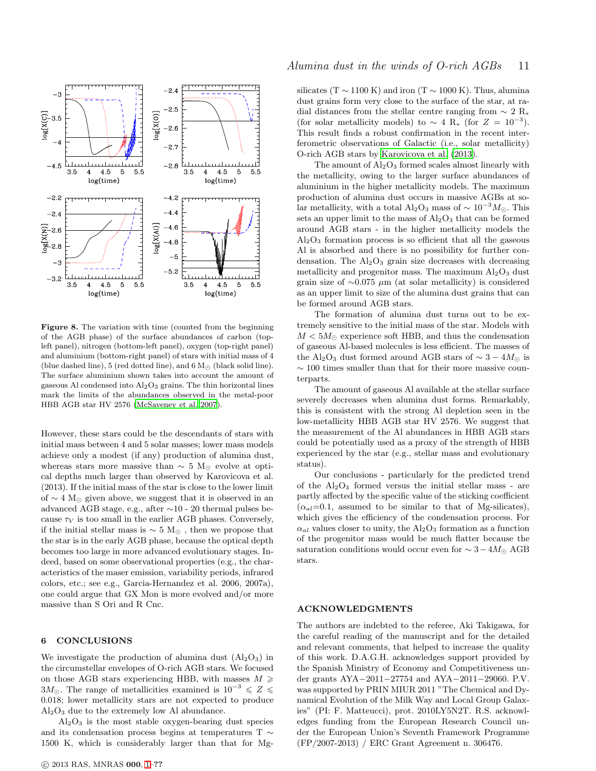

<span id="page-10-0"></span>Figure 8. The variation with time (counted from the beginning of the AGB phase) of the surface abundances of carbon (topleft panel), nitrogen (bottom-left panel), oxygen (top-right panel) and aluminium (bottom-right panel) of stars with initial mass of 4 (blue dashed line), 5 (red dotted line), and 6  $\rm M_{\odot}$  (black solid line). The surface aluminium shown takes into account the amount of gaseous Al condensed into  $\text{Al}_2\text{O}_3$  grains. The thin horizontal lines mark the limits of the abundances observed in the metal-poor HBB AGB star HV 2576 [\(McSaveney et al. 2007\)](#page-11-41).

However, these stars could be the descendants of stars with initial mass between 4 and 5 solar masses; lower mass models achieve only a modest (if any) production of alumina dust, whereas stars more massive than  $\sim$  5 M<sub>☉</sub> evolve at optical depths much larger than observed by Karovicova et al. (2013). If the initial mass of the star is close to the lower limit of  $\sim$  4 M<sub>☉</sub> given above, we suggest that it is observed in an advanced AGB stage, e.g., after ∼10 - 20 thermal pulses because  $\tau_V$  is too small in the earlier AGB phases. Conversely, if the initial stellar mass is ∼ 5 M<sup>⊙</sup> , then we propose that the star is in the early AGB phase, because the optical depth becomes too large in more advanced evolutionary stages. Indeed, based on some observational properties (e.g., the characteristics of the maser emission, variability periods, infrared colors, etc.; see e.g., Garcia-Hernandez et al. 2006, 2007a), one could argue that GX Mon is more evolved and/or more massive than S Ori and R Cnc.

## 6 CONCLUSIONS

We investigate the production of alumina dust  $(Al_2O_3)$  in the circumstellar envelopes of O-rich AGB stars. We focused on those AGB stars experiencing HBB, with masses  $M \geq$ 3 $M_{\odot}$ . The range of metallicities examined is 10<sup>-3</sup> ≤ Z ≤ 0.018; lower metallicity stars are not expected to produce Al2O<sup>3</sup> due to the extremely low Al abundance.

 $Al<sub>2</sub>O<sub>3</sub>$  is the most stable oxygen-bearing dust species and its condensation process begins at temperatures T ∼ 1500 K, which is considerably larger than that for Mg-

# Alumina dust in the winds of O-rich AGBs 11

silicates (T  $\sim$  1100 K) and iron (T  $\sim$  1000 K). Thus, alumina dust grains form very close to the surface of the star, at radial distances from the stellar centre ranging from  $\sim 2 \text{ R}$ <sup>\*</sup> (for solar metallicity models) to  $\sim 4 \text{ R}$ <sup>\*</sup> (for  $Z = 10^{-3}$ ). This result finds a robust confirmation in the recent interferometric observations of Galactic (i.e., solar metallicity) O-rich AGB stars by [Karovicova et al. \(2013](#page-11-42)).

The amount of  $Al_2O_3$  formed scales almost linearly with the metallicity, owing to the larger surface abundances of aluminium in the higher metallicity models. The maximum production of alumina dust occurs in massive AGBs at solar metallicity, with a total Al<sub>2</sub>O<sub>3</sub> mass of  $\sim 10^{-3} M_{\odot}$ . This sets an upper limit to the mass of  $Al_2O_3$  that can be formed around AGB stars - in the higher metallicity models the  $Al<sub>2</sub>O<sub>3</sub>$  formation process is so efficient that all the gaseous Al is absorbed and there is no possibility for further condensation. The  $\text{Al}_2\text{O}_3$  grain size decreases with decreasing metallicity and progenitor mass. The maximum  $Al_2O_3$  dust grain size of  $\sim$ 0.075 µm (at solar metallicity) is considered as an upper limit to size of the alumina dust grains that can be formed around AGB stars.

The formation of alumina dust turns out to be extremely sensitive to the initial mass of the star. Models with  $M < 5M_{\odot}$  experience soft HBB, and thus the condensation of gaseous Al-based molecules is less efficient. The masses of the Al<sub>2</sub>O<sub>3</sub> dust formed around AGB stars of  $\sim$  3 − 4 $M_{\odot}$  is  $\sim 100$  times smaller than that for their more massive counterparts.

The amount of gaseous Al available at the stellar surface severely decreases when alumina dust forms. Remarkably, this is consistent with the strong Al depletion seen in the low-metallicity HBB AGB star HV 2576. We suggest that the measurement of the Al abundances in HBB AGB stars could be potentially used as a proxy of the strength of HBB experienced by the star (e.g., stellar mass and evolutionary status).

Our conclusions - particularly for the predicted trend of the  $Al_2O_3$  formed versus the initial stellar mass - are partly affected by the specific value of the sticking coefficient  $(\alpha_{al}=0.1,$  assumed to be similar to that of Mg-silicates), which gives the efficiency of the condensation process. For  $\alpha_{al}$  values closer to unity, the Al<sub>2</sub>O<sub>3</sub> formation as a function of the progenitor mass would be much flatter because the saturation conditions would occur even for  $\sim 3-4M_{\odot}$  AGB stars.

# ACKNOWLEDGMENTS

The authors are indebted to the referee, Aki Takigawa, for the careful reading of the manuscript and for the detailed and relevant comments, that helped to increase the quality of this work. D.A.G.H. acknowledges support provided by the Spanish Ministry of Economy and Competitiveness under grants AYA−2011−27754 and AYA−2011−29060. P.V. was supported by PRIN MIUR 2011 "The Chemical and Dynamical Evolution of the Milk Way and Local Group Galaxies" (PI: F. Matteucci), prot. 2010LY5N2T. R.S. acknowledges funding from the European Research Council under the European Union's Seventh Framework Programme (FP/2007-2013) / ERC Grant Agreement n. 306476.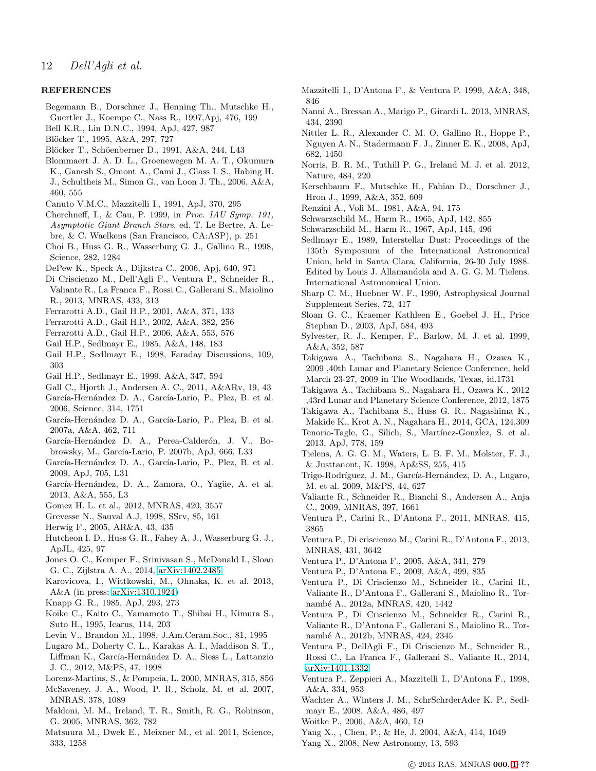# REFERENCES

- <span id="page-11-34"></span>Begemann B., Dorschner J., Henning Th., Mutschke H., Guertler J., Koempe C., Nass R., 1997,Apj, 476, 199
- Bell K.R., Lin D.N.C., 1994, ApJ, 427, 987
- <span id="page-11-29"></span>Blöcker T., 1995, A&A, 297, 727
- Blöcker T., Schöenberner D., 1991, A&A, 244, L43
- <span id="page-11-21"></span>Blommaert J. A. D. L., Groenewegen M. A. T., Okumura K., Ganesh S., Omont A., Cami J., Glass I. S., Habing H. J., Schultheis M., Simon G., van Loon J. Th., 2006, A&A, 460, 555
- <span id="page-11-26"></span>Canuto V.M.C., Mazzitelli I., 1991, ApJ, 370, 295
- Cherchneff, I., & Cau, P. 1999, in Proc. IAU Symp. 191, Asymptotic Giant Branch Stars, ed. T. Le Bertre, A. Lebre, & C. Waelkens (San Francisco, CA:ASP), p. 251
- Choi B., Huss G. R., Wasserburg G. J., Gallino R., 1998, Science, 282, 1284
- <span id="page-11-15"></span>DePew K., Speck A., Dijkstra C., 2006, Apj, 640, 971
- <span id="page-11-39"></span>Di Criscienzo M., Dell'Agli F., Ventura P., Schneider R., Valiante R., La Franca F., Rossi C., Gallerani S., Maiolino
- R., 2013, MNRAS, 433, 313
- <span id="page-11-1"></span>Ferrarotti A.D., Gail H.P., 2001, A&A, 371, 133
- <span id="page-11-2"></span>Ferrarotti A.D., Gail H.P., 2002, A&A, 382, 256
- <span id="page-11-3"></span>Ferrarotti A.D., Gail H.P., 2006, A&A, 553, 576
- Gail H.P., Sedlmayr E., 1985, A&A, 148, 183
- <span id="page-11-23"></span>Gail H.P., Sedlmayr E., 1998, Faraday Discussions, 109, 303
- Gail H.P., Sedlmayr E., 1999, A&A, 347, 594
- Gall C., Hjorth J., Andersen A. C., 2011, A&ARv, 19, 43
- García-Hernández D. A., García-Lario, P., Plez, B. et al. 2006, Science, 314, 1751
- García-Hernández D. A., García-Lario, P., Plez, B. et al. 2007a, A&A, 462, 711
- García-Hernández D. A., Perea-Calderón, J. V., Bobrowsky, M., García-Lario, P. 2007b, ApJ, 666, L33
- García-Hernández D. A., García-Lario, P., Plez, B. et al. 2009, ApJ, 705, L31
- <span id="page-11-28"></span>García-Hernández, D. A., Zamora, O., Yagüe, A. et al. 2013, A&A, 555, L3
- <span id="page-11-5"></span>Gomez H. L. et al., 2012, MNRAS, 420, 3557
- <span id="page-11-30"></span>Grevesse N., Sauval A.J, 1998, SSrv, 85, 161
- <span id="page-11-0"></span>Herwig F., 2005, AR&A, 43, 435
- Hutcheon I. D., Huss G. R., Fahey A. J., Wasserburg G. J., ApJL, 425, 97
- <span id="page-11-18"></span>Jones O. C., Kemper F., Srinivasan S., McDonald I., Sloan G. C., Zijlstra A. A., 2014, [arXiv:1402.2485](http://arxiv.org/abs/1402.2485)
- <span id="page-11-42"></span>Karovicova, I., Wittkowski, M., Ohnaka, K. et al. 2013, A&A (in press; [arXiv:1310.1924\)](http://arxiv.org/abs/1310.1924)
- <span id="page-11-31"></span>Knapp G. R., 1985, ApJ, 293, 273
- <span id="page-11-33"></span>Koike C., Kaito C., Yamamoto T., Shibai H., Kimura S., Suto H., 1995, Icarus, 114, 203
- <span id="page-11-35"></span>Levin V., Brandon M., 1998, J.Am.Ceram.Soc., 81, 1995
- Lugaro M., Doherty C. L., Karakas A. I., Maddison S. T., Liffman K., García-Hernández D. A., Siess L., Lattanzio J. C., 2012, M&PS, 47, 1998
- Lorenz-Martins, S., & Pompeia, L. 2000, MNRAS, 315, 856
- <span id="page-11-41"></span>McSaveney, J. A., Wood, P. R., Scholz, M. et al. 2007, MNRAS, 378, 1089
- Maldoni, M. M., Ireland, T. R., Smith, R. G., Robinson, G. 2005, MNRAS, 362, 782
- <span id="page-11-4"></span>Matsuura M., Dwek E., Meixner M., et al. 2011, Science, 333, 1258
- Mazzitelli I., D'Antona F., & Ventura P. 1999, A&A, 348, 846
- Nanni A., Bressan A., Marigo P., Girardi L. 2013, MNRAS, 434, 2390
- <span id="page-11-40"></span>Nittler L. R., Alexander C. M. O, Gallino R., Hoppe P., Nguyen A. N., Stadermann F. J., Zinner E. K., 2008, ApJ, 682, 1450
- <span id="page-11-20"></span>Norris, B. R. M., Tuthill P. G., Ireland M. J. et al. 2012, Nature, 484, 220
- <span id="page-11-13"></span>Kerschbaum F., Mutschke H., Fabian D., Dorschner J., Hron J., 1999, A&A, 352, 609
- Renzini A., Voli M., 1981, A&A, 94, 175
- <span id="page-11-7"></span>Schwarzschild M., Harm R., 1965, ApJ, 142, 855
- <span id="page-11-8"></span>Schwarzschild M., Harm R., 1967, ApJ, 145, 496
- <span id="page-11-22"></span>Sedlmayr E., 1989, Interstellar Dust: Proceedings of the 135th Symposium of the International Astronomical Union, held in Santa Clara, California, 26-30 July 1988. Edited by Louis J. Allamandola and A. G. G. M. Tielens. International Astronomical Union.
- <span id="page-11-32"></span>Sharp C. M., Huebner W. F., 1990, Astrophysical Journal Supplement Series, 72, 417
- <span id="page-11-14"></span>Sloan G. C., Kraemer Kathleen E., Goebel J. H., Price Stephan D., 2003, ApJ, 584, 493
- Sylvester, R. J., Kemper, F., Barlow, M. J. et al. 1999, A&A, 352, 587
- <span id="page-11-17"></span>Takigawa A., Tachibana S., Nagahara H., Ozawa K., 2009 ,40th Lunar and Planetary Science Conference, held March 23-27, 2009 in The Woodlands, Texas, id.1731
- <span id="page-11-36"></span>Takigawa A., Tachibana S., Nagahara H., Ozawa K., 2012 ,43rd Lunar and Planetary Science Conference, 2012, 1875
- Takigawa A., Tachibana S., Huss G. R., Nagashima K., Makide K., Krot A. N., Nagahara H., 2014, GCA, 124,309
- <span id="page-11-6"></span>Tenorio-Tagle, G., Silich, S., Martínez-Gonzíez, S. et al. 2013, ApJ, 778, 159
- Tielens, A. G. G. M., Waters, L. B. F. M., Molster, F. J., & Justtanont, K. 1998, Ap&SS, 255, 415
- Trigo-Rodríguez, J. M., García-Hernández, D. A., Lugaro, M. et al. 2009, M&PS, 44, 627
- Valiante R., Schneider R., Bianchi S., Andersen A., Anja C., 2009, MNRAS, 397, 1661
- <span id="page-11-38"></span>Ventura P., Carini R., D'Antona F., 2011, MNRAS, 415, 3865
- <span id="page-11-37"></span>Ventura P., Di criscienzo M., Carini R., D'Antona F., 2013, MNRAS, 431, 3642
- <span id="page-11-27"></span>Ventura P., D'Antona F., 2005, A&A, 341, 279
- <span id="page-11-25"></span>Ventura P., D'Antona F., 2009, A&A, 499, 835
- <span id="page-11-9"></span>Ventura P., Di Criscienzo M., Schneider R., Carini R., Valiante R., D'Antona F., Gallerani S., Maiolino R., Tornambé A., 2012a, MNRAS, 420, 1442
- <span id="page-11-10"></span>Ventura P., Di Criscienzo M., Schneider R., Carini R., Valiante R., D'Antona F., Gallerani S., Maiolino R., Tornambé A., 2012b, MNRAS, 424, 2345
- <span id="page-11-11"></span>Ventura P., DellAgli F., Di Criscienzo M., Schneider R., Rossi C., La Franca F., Gallerani S., Valiante R., 2014, [arXiv:1401.1332](http://arxiv.org/abs/1401.1332)
- <span id="page-11-24"></span>Ventura P., Zeppieri A., Mazzitelli I., D'Antona F., 1998, A&A, 334, 953
- <span id="page-11-12"></span>Wachter A., Winters J. M., SchrSchrderAder K. P., Sedlmayr E., 2008, A&A, 486, 497
- <span id="page-11-19"></span>Woitke P., 2006, A&A, 460, L9
- Yang X., , Chen, P., & He, J. 2004, A&A, 414, 1049
- <span id="page-11-16"></span>Yang X., 2008, New Astronomy, 13, 593